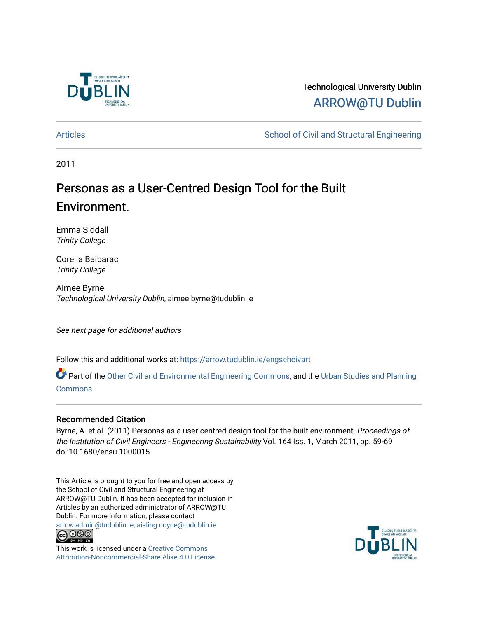

# Technological University Dublin [ARROW@TU Dublin](https://arrow.tudublin.ie/)

[Articles](https://arrow.tudublin.ie/engschcivart) **School of Civil and Structural Engineering** School of Civil and Structural Engineering

2011

# Personas as a User-Centred Design Tool for the Built Environment.

Emma Siddall Trinity College

Corelia Baibarac Trinity College

Aimee Byrne Technological University Dublin, aimee.byrne@tudublin.ie

See next page for additional authors

Follow this and additional works at: [https://arrow.tudublin.ie/engschcivart](https://arrow.tudublin.ie/engschcivart?utm_source=arrow.tudublin.ie%2Fengschcivart%2F67&utm_medium=PDF&utm_campaign=PDFCoverPages)

Part of the [Other Civil and Environmental Engineering Commons](http://network.bepress.com/hgg/discipline/257?utm_source=arrow.tudublin.ie%2Fengschcivart%2F67&utm_medium=PDF&utm_campaign=PDFCoverPages), and the [Urban Studies and Planning](http://network.bepress.com/hgg/discipline/436?utm_source=arrow.tudublin.ie%2Fengschcivart%2F67&utm_medium=PDF&utm_campaign=PDFCoverPages)  **[Commons](http://network.bepress.com/hgg/discipline/436?utm_source=arrow.tudublin.ie%2Fengschcivart%2F67&utm_medium=PDF&utm_campaign=PDFCoverPages)** 

# Recommended Citation

Byrne, A. et al. (2011) Personas as a user-centred design tool for the built environment, Proceedings of the Institution of Civil Engineers - Engineering Sustainability Vol. 164 Iss. 1, March 2011, pp. 59-69 doi:10.1680/ensu.1000015

This Article is brought to you for free and open access by the School of Civil and Structural Engineering at ARROW@TU Dublin. It has been accepted for inclusion in Articles by an authorized administrator of ARROW@TU Dublin. For more information, please contact [arrow.admin@tudublin.ie, aisling.coyne@tudublin.ie](mailto:arrow.admin@tudublin.ie,%20aisling.coyne@tudublin.ie).



This work is licensed under a [Creative Commons](http://creativecommons.org/licenses/by-nc-sa/4.0/) [Attribution-Noncommercial-Share Alike 4.0 License](http://creativecommons.org/licenses/by-nc-sa/4.0/)

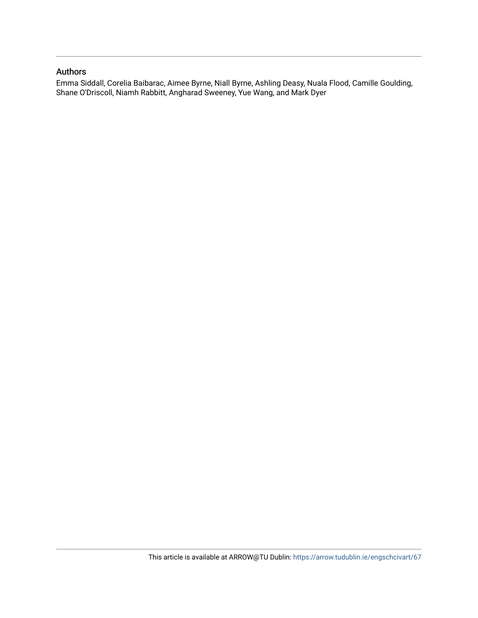# Authors

Emma Siddall, Corelia Baibarac, Aimee Byrne, Niall Byrne, Ashling Deasy, Nuala Flood, Camille Goulding, Shane O'Driscoll, Niamh Rabbitt, Angharad Sweeney, Yue Wang, and Mark Dyer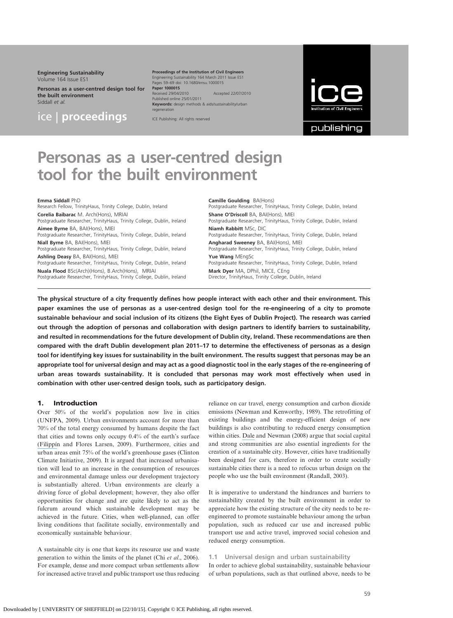Engineering Sustainability Volume 164 Issue ES1

Personas as a user-centred design tool for the built environment Siddall et al.

ice | proceedings **ICE Publishing: All rights reserved** 

Proceedings of the Institution of Civil Engineers Engineering Sustainability 164 March 2011 Issue ES1 Pages 59–69 doi: 10.1680/ensu.1000015 Paper 1000015<br>Received 29/04/2010 Received 29/04/2010 Accepted 22/07/2010 Published online 25/01/2011 Keywords: design methods & aids/sustainability/urban regeneration



# Personas as a user-centred design tool for the built environment

#### Emma Siddall PhD

Research Fellow, TrinityHaus, Trinity College, Dublin, Ireland Corelia Baibarac M. Arch(Hons), MRIAI Postgraduate Researcher, TrinityHaus, Trinity College, Dublin, Ireland Aimee Byrne BA, BAI(Hons), MIEI Postgraduate Researcher, TrinityHaus, Trinity College, Dublin, Ireland Niall Byrne BA, BAI(Hons), MIEI

Postgraduate Researcher, TrinityHaus, Trinity College, Dublin, Ireland Ashling Deasy BA, BAI(Hons), MIEI

Postgraduate Researcher, TrinityHaus, Trinity College, Dublin, Ireland Nuala Flood BSc(Arch)(Hons), B.Arch(Hons), MRIAI

Postgraduate Researcher, TrinityHaus, Trinity College, Dublin, Ireland

# Camille Goulding BA(Hons)

Postgraduate Researcher, TrinityHaus, Trinity College, Dublin, Ireland Shane O'Driscoll BA, BAI(Hons), MIEI

Postgraduate Researcher, TrinityHaus, Trinity College, Dublin, Ireland Niamh Rabbitt MSc, DIC

Postgraduate Researcher, TrinityHaus, Trinity College, Dublin, Ireland Angharad Sweeney BA, BAI(Hons), MIEI

Postgraduate Researcher, TrinityHaus, Trinity College, Dublin, Ireland Yue Wang MEngSc

Postgraduate Researcher, TrinityHaus, Trinity College, Dublin, Ireland Mark Dyer MA, DPhil, MICE, CEng

Director, TrinityHaus, Trinity College, Dublin, Ireland

The physical structure of a city frequently defines how people interact with each other and their environment. This paper examines the use of personas as a user-centred design tool for the re-engineering of a city to promote sustainable behaviour and social inclusion of its citizens (the Eight Eyes of Dublin Project). The research was carried out through the adoption of personas and collaboration with design partners to identify barriers to sustainability, and resulted in recommendations for the future development of Dublin city, Ireland. These recommendations are then compared with the draft Dublin development plan 2011–17 to determine the effectiveness of personas as a design tool for identifying key issues for sustainability in the built environment. The results suggest that personas may be an appropriate tool for universal design and may act as a good diagnostic tool in the early stages of the re-engineering of urban areas towards sustainability. It is concluded that personas may work most effectively when used in combination with other user-centred design tools, such as participatory design.

#### 1. Introduction

Over 50% of the world's population now live in cities (UNFPA, 2009). Urban environments account for more than 70% of the total energy consumed by humans despite the fact that cities and towns only occupy 0.4% of the earth's surface (Filippín and Flores Larsen, 2009). Furthermore, cities and urban areas emit 75% of the world's greenhouse gases (Clinton Climate Initiative, 2009). It is argued that increased urbanisation will lead to an increase in the consumption of resources and environmental damage unless our development trajectory is substantially altered. Urban environments are clearly a driving force of global development; however, they also offer opportunities for change and are quite likely to act as the fulcrum around which sustainable development may be achieved in the future. Cities, when well-planned, can offer living conditions that facilitate socially, environmentally and economically sustainable behaviour.

A sustainable city is one that keeps its resource use and waste generation to within the limits of the planet (Chi et al., 2006). For example, dense and more compact urban settlements allow for increased active travel and public transport use thus reducing

reliance on car travel, energy consumption and carbon dioxide emissions (Newman and Kenworthy, 1989). The retrofitting of existing buildings and the energy-efficient design of new buildings is also contributing to reduced energy consumption within cities. Dale and Newman (2008) argue that social capital and strong communities are also essential ingredients for the creation of a sustainable city. However, cities have traditionally been designed for cars, therefore in order to create socially sustainable cities there is a need to refocus urban design on the people who use the built environment (Randall, 2003).

It is imperative to understand the hindrances and barriers to sustainability created by the built environment in order to appreciate how the existing structure of the city needs to be reengineered to promote sustainable behaviour among the urban population, such as reduced car use and increased public transport use and active travel, improved social cohesion and reduced energy consumption.

1.1 Universal design and urban sustainability In order to achieve global sustainability, sustainable behaviour of urban populations, such as that outlined above, needs to be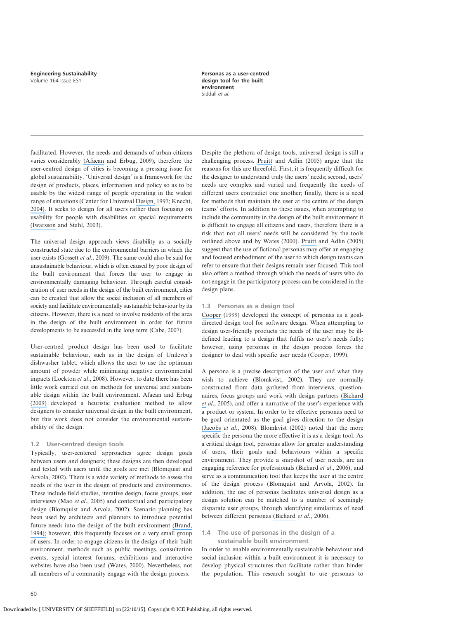facilitated. However, the needs and demands of urban citizens varies considerably (Afacan and Erbug, 2009), therefore the user-centred design of cities is becoming a pressing issue for global sustainability. 'Universal design' is a framework for the design of products, places, information and policy so as to be usable by the widest range of people operating in the widest range of situations (Center for Universal Design, 1997; Knecht, 2004). It seeks to design for all users rather than focusing on usability for people with disabilities or special requirements (Iwarsson and Stahl, 2003).

The universal design approach views disability as a socially constructed state due to the environmental barriers in which the user exists (Gossett et al., 2009). The same could also be said for unsustainable behaviour, which is often caused by poor design of the built environment that forces the user to engage in environmentally damaging behaviour. Through careful consideration of user needs in the design of the built environment, cities can be created that allow the social inclusion of all members of society and facilitate environmentally sustainable behaviour by its citizens. However, there is a need to involve residents of the area in the design of the built environment in order for future developments to be successful in the long term (Cabe, 2007).

User-centred product design has been used to facilitate sustainable behaviour, such as in the design of Unilever's dishwasher tablet, which allows the user to use the optimum amount of powder while minimising negative environmental impacts (Lockton et al., 2008). However, to date there has been little work carried out on methods for universal and sustainable design within the built environment. Afacan and Erbug (2009) developed a heuristic evaluation method to allow designers to consider universal design in the built environment, but this work does not consider the environmental sustainability of the design.

#### 1.2 User-centred design tools

Typically, user-centered approaches agree design goals between users and designers; these designs are then developed and tested with users until the goals are met (Blomquist and Arvola, 2002). There is a wide variety of methods to assess the needs of the user in the design of products and environments. These include field studies, iterative design, focus groups, user interviews (Mao et al., 2005) and contextual and participatory design (Blomquist and Arvola, 2002). Scenario planning has been used by architects and planners to introduce potential future needs into the design of the built environment (Brand, 1994); however, this frequently focuses on a very small group of users. In order to engage citizens in the design of their built environment, methods such as public meetings, consultation events, special interest forums, exhibitions and interactive websites have also been used (Wates, 2000). Nevertheless, not all members of a community engage with the design process.

Despite the plethora of design tools, universal design is still a challenging process. Pruitt and Adlin (2005) argue that the reasons for this are threefold. First, it is frequently difficult for the designer to understand truly the users' needs; second, users' needs are complex and varied and frequently the needs of different users contradict one another; finally, there is a need for methods that maintain the user at the centre of the design teams' efforts. In addition to these issues, when attempting to include the community in the design of the built environment it is difficult to engage all citizens and users, therefore there is a risk that not all users' needs will be considered by the tools outlined above and by Wates (2000). Pruitt and Adlin (2005) suggest that the use of fictional personas may offer an engaging and focused embodiment of the user to which design teams can refer to ensure that their designs remain user focused. This tool also offers a method through which the needs of users who do not engage in the participatory process can be considered in the design plans.

#### 1.3 Personas as a design tool

Cooper (1999) developed the concept of personas as a goaldirected design tool for software design. When attempting to design user-friendly products the needs of the user may be illdefined leading to a design that fulfils no user's needs fully; however, using personas in the design process forces the designer to deal with specific user needs (Cooper, 1999).

A persona is a precise description of the user and what they wish to achieve (Blomkvist, 2002). They are normally constructed from data gathered from interviews, questionnaires, focus groups and work with design partners (Bichard et al., 2005), and offer a narrative of the user's experience with a product or system. In order to be effective personas need to be goal orientated as the goal gives direction to the design (Jacobs et al., 2008). Blomkvist (2002) noted that the more specific the persona the more effective it is as a design tool. As a critical design tool, personas allow for greater understanding of users, their goals and behaviours within a specific environment. They provide a snapshot of user needs, are an engaging reference for professionals (Bichard et al., 2006), and serve as a communication tool that keeps the user at the centre of the design process (Blomquist and Arvola, 2002). In addition, the use of personas facilitates universal design as a design solution can be matched to a number of seemingly disparate user groups, through identifying similarities of need between different personas (Bichard et al., 2006).

### 1.4 The use of personas in the design of a sustainable built environment

In order to enable environmentally sustainable behaviour and social inclusion within a built environment it is necessary to develop physical structures that facilitate rather than hinder the population. This research sought to use personas to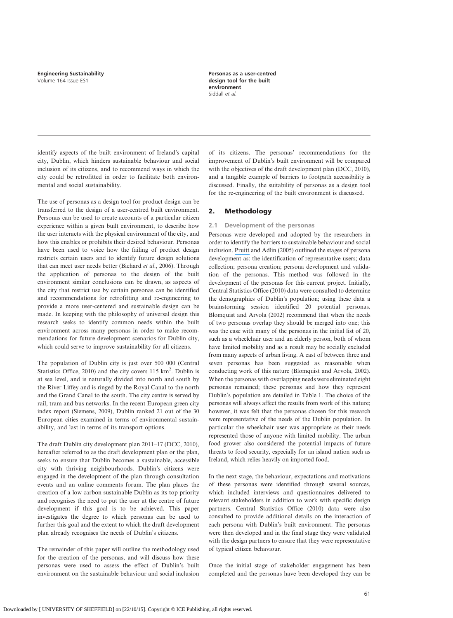identify aspects of the built environment of Ireland's capital city, Dublin, which hinders sustainable behaviour and social inclusion of its citizens, and to recommend ways in which the city could be retrofitted in order to facilitate both environmental and social sustainability.

The use of personas as a design tool for product design can be transferred to the design of a user-centred built environment. Personas can be used to create accounts of a particular citizen experience within a given built environment, to describe how the user interacts with the physical environment of the city, and how this enables or prohibits their desired behaviour. Personas have been used to voice how the failing of product design restricts certain users and to identify future design solutions that can meet user needs better (Bichard et al., 2006). Through the application of personas to the design of the built environment similar conclusions can be drawn, as aspects of the city that restrict use by certain personas can be identified and recommendations for retrofitting and re-engineering to provide a more user-centered and sustainable design can be made. In keeping with the philosophy of universal design this research seeks to identify common needs within the built environment across many personas in order to make recommendations for future development scenarios for Dublin city, which could serve to improve sustainability for all citizens.

The population of Dublin city is just over 500 000 (Central Statistics Office, 2010) and the city covers 115 km<sup>2</sup>. Dublin is at sea level, and is naturally divided into north and south by the River Liffey and is ringed by the Royal Canal to the north and the Grand Canal to the south. The city centre is served by rail, tram and bus networks. In the recent European green city index report (Siemens, 2009), Dublin ranked 21 out of the 30 European cities examined in terms of environmental sustainability, and last in terms of its transport options.

The draft Dublin city development plan 2011–17 (DCC, 2010), hereafter referred to as the draft development plan or the plan, seeks to ensure that Dublin becomes a sustainable, accessible city with thriving neighbourhoods. Dublin's citizens were engaged in the development of the plan through consultation events and an online comments forum. The plan places the creation of a low carbon sustainable Dublin as its top priority and recognises the need to put the user at the centre of future development if this goal is to be achieved. This paper investigates the degree to which personas can be used to further this goal and the extent to which the draft development plan already recognises the needs of Dublin's citizens.

The remainder of this paper will outline the methodology used for the creation of the personas, and will discuss how these personas were used to assess the effect of Dublin's built environment on the sustainable behaviour and social inclusion

of its citizens. The personas' recommendations for the improvement of Dublin's built environment will be compared with the objectives of the draft development plan (DCC, 2010), and a tangible example of barriers to footpath accessibility is discussed. Finally, the suitability of personas as a design tool for the re-engineering of the built environment is discussed.

## 2. Methodology

## 2.1 Development of the personas

Personas were developed and adopted by the researchers in order to identify the barriers to sustainable behaviour and social inclusion. Pruitt and Adlin (2005) outlined the stages of persona development as: the identification of representative users; data collection; persona creation; persona development and validation of the personas. This method was followed in the development of the personas for this current project. Initially, Central Statistics Office (2010) data were consulted to determine the demographics of Dublin's population; using these data a brainstorming session identified 20 potential personas. Blomquist and Arvola (2002) recommend that when the needs of two personas overlap they should be merged into one; this was the case with many of the personas in the initial list of 20, such as a wheelchair user and an elderly person, both of whom have limited mobility and as a result may be socially excluded from many aspects of urban living. A cast of between three and seven personas has been suggested as reasonable when conducting work of this nature (Blomquist and Arvola, 2002). When the personas with overlapping needs were eliminated eight personas remained; these personas and how they represent Dublin's population are detailed in Table 1. The choice of the personas will always affect the results from work of this nature; however, it was felt that the personas chosen for this research were representative of the needs of the Dublin population. In particular the wheelchair user was appropriate as their needs represented those of anyone with limited mobility. The urban food grower also considered the potential impacts of future threats to food security, especially for an island nation such as Ireland, which relies heavily on imported food.

In the next stage, the behaviour, expectations and motivations of these personas were identified through several sources, which included interviews and questionnaires delivered to relevant stakeholders in addition to work with specific design partners. Central Statistics Office (2010) data were also consulted to provide additional details on the interaction of each persona with Dublin's built environment. The personas were then developed and in the final stage they were validated with the design partners to ensure that they were representative of typical citizen behaviour.

Once the initial stage of stakeholder engagement has been completed and the personas have been developed they can be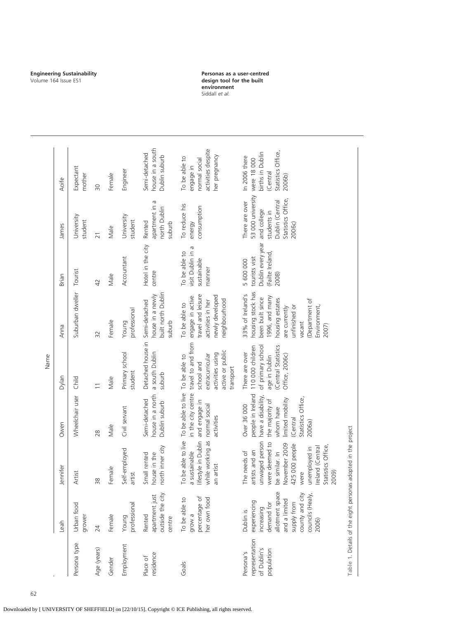|                                                          |                                                                                                                                                          |                                                                                                                                                                                                     |                                                                                                                                                        | Name                                                                                                                      |                                                                                                                                                                                      |                                                                               |                                                                                                                      |                                                                                              |
|----------------------------------------------------------|----------------------------------------------------------------------------------------------------------------------------------------------------------|-----------------------------------------------------------------------------------------------------------------------------------------------------------------------------------------------------|--------------------------------------------------------------------------------------------------------------------------------------------------------|---------------------------------------------------------------------------------------------------------------------------|--------------------------------------------------------------------------------------------------------------------------------------------------------------------------------------|-------------------------------------------------------------------------------|----------------------------------------------------------------------------------------------------------------------|----------------------------------------------------------------------------------------------|
|                                                          | Leah                                                                                                                                                     | Jennifer                                                                                                                                                                                            | Owen                                                                                                                                                   | Dylan                                                                                                                     | Anna                                                                                                                                                                                 | Brian                                                                         | James                                                                                                                | Aoife                                                                                        |
| Persona type                                             | Urban food<br>grower                                                                                                                                     | Artist                                                                                                                                                                                              | Wheelchair user                                                                                                                                        | Child                                                                                                                     | Suburban dweller                                                                                                                                                                     | Tourist                                                                       | University<br>student                                                                                                | Expectant<br>mother                                                                          |
| Age (years)                                              | 24                                                                                                                                                       | $\frac{8}{3}$                                                                                                                                                                                       | 28                                                                                                                                                     | $\overline{\phantom{0}}$                                                                                                  | 32                                                                                                                                                                                   | 42                                                                            | $\overline{21}$                                                                                                      | 30                                                                                           |
| Gender                                                   | Female                                                                                                                                                   | Female                                                                                                                                                                                              | Male                                                                                                                                                   | Male                                                                                                                      | Female                                                                                                                                                                               | Male                                                                          | Male                                                                                                                 | Female                                                                                       |
| Employment                                               | professional<br>Young                                                                                                                                    | Self-employed<br>artist                                                                                                                                                                             | Civil servant                                                                                                                                          | Primary school<br>student                                                                                                 | professional<br>Young                                                                                                                                                                | Accountant                                                                    | University<br>student                                                                                                | Engineer                                                                                     |
| residence<br>Place of                                    | outside the city<br>apartment just<br>Rented<br>centre                                                                                                   | north inner city<br>house in the<br>Small rented                                                                                                                                                    | house in a north<br>Semi-detached<br>Dublin suburb                                                                                                     | Detached house in<br>a south Dublin<br>suburb                                                                             | built north Dublin<br>house in a newly<br>Semi-detached<br>suburb                                                                                                                    | Hotel in the city<br>centre                                                   | apartment in a<br>north Dublin<br>Rented<br>suburb                                                                   | house in a south<br>Semi-detached<br>Dublin suburb                                           |
| Goals                                                    | percentage of<br>To be able to<br>her own food<br>grow a                                                                                                 | To be able to live<br>lifestyle in Dublin<br>while working as<br>a sustainable<br>an artist                                                                                                         | To be able to live<br>in the city centre<br>and engage in<br>normal social<br>activities                                                               | travel to and from<br>active or public<br>activities using<br>extracurricular<br>To be able to<br>school and<br>transport | travel and leisure<br>newly developed<br>engage in active<br>neighbourhood<br>activities in her<br>To be able to                                                                     | Б<br>To be able to<br>visit Dublin in<br>sustainable<br>manner                | To reduce his<br>consumption<br>energy                                                                               | activities despite<br>her pregnancy<br>To be able to<br>normal social<br>engage in           |
| representation<br>of Dublin's<br>population<br>Persona's | allotment space<br>councils (Healy,<br>county and city<br>and a limited<br>experiencing<br>supply from<br>demand for<br>increasing<br>Dublin is<br>2006) | unwaged person<br>were deemed to<br>November 2009<br>425 000 people<br>Statistics Office,<br>Ireland (Central<br>unemployed in<br>artists and an<br>be similar. In<br>The needs of<br>2009)<br>were | people in Ireland<br>have a disability,<br>Statistics Office,<br>limited mobility<br>the majority of<br>Over 36 000<br>whom have<br>(Central<br>2006a) | (Central Statistics<br>of primary school<br>110 000 children<br>There are over<br>age in Dublin<br>Office, 2006c)         | housing stock has<br>33% of Ireland's<br>1996, and many<br>been built since<br>housing estates<br>Department of<br>Environment,<br>unfinished or<br>are currently<br>vacant<br>2007) | Dublin every year<br>(Failte Ireland,<br>tourists visit<br>5 600 000<br>2008) | 53 000 university<br>Statistics Office,<br>Dublin (Central<br>There are over<br>and college<br>students in<br>2006c) | Statistics Office,<br>births in Dublin<br>In 2006 there<br>were 18 000<br>(Central<br>2006b) |
|                                                          |                                                                                                                                                          | Table 1. Details of the eight personas adopted in the project                                                                                                                                       |                                                                                                                                                        |                                                                                                                           |                                                                                                                                                                                      |                                                                               |                                                                                                                      |                                                                                              |

#### Engineering Sustainability

Volume 164 Issue ES1

Personas as a user-centred design tool for the built environment Siddall et al.

Downloaded by [ UNIVERSITY OF SHEFFIELD] on [22/10/15]. Copyright © ICE Publishing, all rights reserved.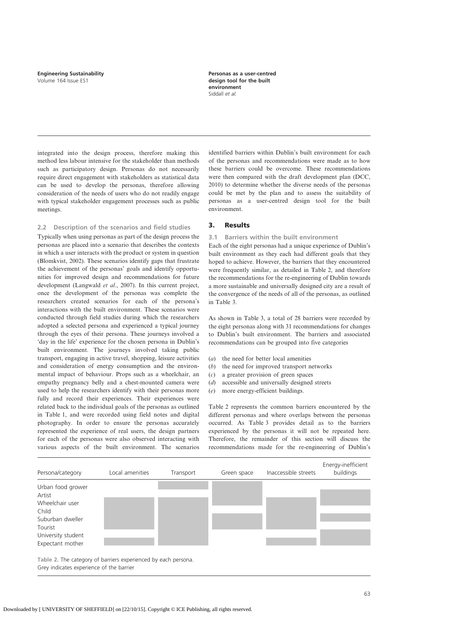integrated into the design process, therefore making this method less labour intensive for the stakeholder than methods such as participatory design. Personas do not necessarily require direct engagement with stakeholders as statistical data can be used to develop the personas, therefore allowing consideration of the needs of users who do not readily engage with typical stakeholder engagement processes such as public meetings.

#### 2.2 Description of the scenarios and field studies

Typically when using personas as part of the design process the personas are placed into a scenario that describes the contexts in which a user interacts with the product or system in question (Blomkvist, 2002). These scenarios identify gaps that frustrate the achievement of the personas' goals and identify opportunities for improved design and recommendations for future development (Langwald et al., 2007). In this current project, once the development of the personas was complete the researchers created scenarios for each of the persona's interactions with the built environment. These scenarios were conducted through field studies during which the researchers adopted a selected persona and experienced a typical journey through the eyes of their persona. These journeys involved a 'day in the life' experience for the chosen persona in Dublin's built environment. The journeys involved taking public transport, engaging in active travel, shopping, leisure activities and consideration of energy consumption and the environmental impact of behaviour. Props such as a wheelchair, an empathy pregnancy belly and a chest-mounted camera were used to help the researchers identify with their personas more fully and record their experiences. Their experiences were related back to the individual goals of the personas as outlined in Table 1, and were recorded using field notes and digital photography. In order to ensure the personas accurately represented the experience of real users, the design partners for each of the personas were also observed interacting with various aspects of the built environment. The scenarios identified barriers within Dublin's built environment for each of the personas and recommendations were made as to how these barriers could be overcome. These recommendations were then compared with the draft development plan (DCC, 2010) to determine whether the diverse needs of the personas could be met by the plan and to assess the suitability of personas as a user-centred design tool for the built environment.

# 3. Results

#### 3.1 Barriers within the built environment

Each of the eight personas had a unique experience of Dublin's built environment as they each had different goals that they hoped to achieve. However, the barriers that they encountered were frequently similar, as detailed in Table 2, and therefore the recommendations for the re-engineering of Dublin towards a more sustainable and universally designed city are a result of the convergence of the needs of all of the personas, as outlined in Table 3.

As shown in Table 3, a total of 28 barriers were recorded by the eight personas along with 31 recommendations for changes to Dublin's built environment. The barriers and associated recommendations can be grouped into five categories

- (a) the need for better local amenities
- (b) the need for improved transport networks
- (c) a greater provision of green spaces
- (d) accessible and universally designed streets
- (e) more energy-efficient buildings.

Table 2 represents the common barriers encountered by the different personas and where overlaps between the personas occurred. As Table 3 provides detail as to the barriers experienced by the personas it will not be repeated here. Therefore, the remainder of this section will discuss the recommendations made for the re-engineering of Dublin's



Table 2. The category of barriers experienced by each persona. Grey indicates experience of the barrier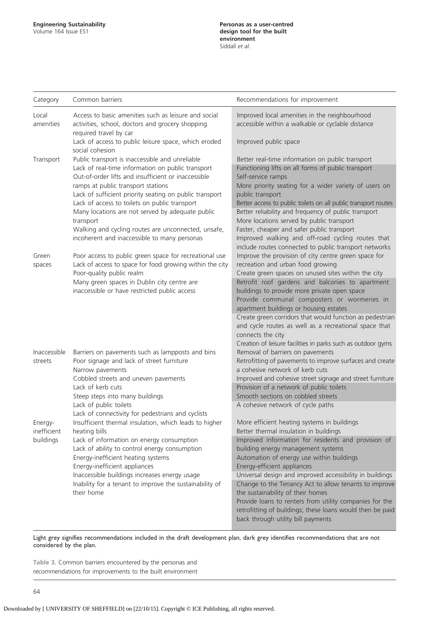| Category                 | Common barriers                                                                                                                    | Recommendations for improvement                                                                            |
|--------------------------|------------------------------------------------------------------------------------------------------------------------------------|------------------------------------------------------------------------------------------------------------|
| Local<br>amenities       | Access to basic amenities such as leisure and social<br>activities, school, doctors and grocery shopping<br>required travel by car | Improved local amenities in the neighbourhood<br>accessible within a walkable or cyclable distance         |
|                          | Lack of access to public leisure space, which eroded<br>social cohesion                                                            | Improved public space                                                                                      |
| Transport                | Public transport is inaccessible and unreliable                                                                                    | Better real-time information on public transport                                                           |
|                          | Lack of real-time information on public transport                                                                                  | Functioning lifts on all forms of public transport                                                         |
|                          | Out-of-order lifts and insufficient or inaccessible<br>ramps at public transport stations                                          | Self-service ramps                                                                                         |
|                          | Lack of sufficient priority seating on public transport                                                                            | More priority seating for a wider variety of users on<br>public transport                                  |
|                          | Lack of access to toilets on public transport                                                                                      | Better access to public toilets on all public transport routes                                             |
|                          | Many locations are not served by adequate public                                                                                   | Better reliability and frequency of public transport                                                       |
|                          | transport                                                                                                                          | More locations served by public transport                                                                  |
|                          | Walking and cycling routes are unconnected, unsafe,                                                                                | Faster, cheaper and safer public transport                                                                 |
|                          | incoherent and inaccessible to many personas                                                                                       | Improved walking and off-road cycling routes that<br>include routes connected to public transport networks |
| Green                    | Poor access to public green space for recreational use                                                                             | Improve the provision of city centre green space for                                                       |
| spaces                   | Lack of access to space for food growing within the city                                                                           | recreation and urban food growing                                                                          |
|                          | Poor-quality public realm                                                                                                          | Create green spaces on unused sites within the city                                                        |
|                          | Many green spaces in Dublin city centre are                                                                                        | Retrofit roof gardens and balconies to apartment                                                           |
|                          | inaccessible or have restricted public access                                                                                      | buildings to provide more private open space                                                               |
|                          |                                                                                                                                    | Provide communal composters or wormeries in<br>apartment buildings or housing estates                      |
|                          |                                                                                                                                    | Create green corridors that would function as pedestrian                                                   |
|                          |                                                                                                                                    | and cycle routes as well as a recreational space that                                                      |
|                          |                                                                                                                                    | connects the city                                                                                          |
|                          |                                                                                                                                    | Creation of leisure facilities in parks such as outdoor gyms                                               |
| Inaccessible<br>streets  | Barriers on pavements such as lampposts and bins<br>Poor signage and lack of street furniture                                      | Removal of barriers on pavements                                                                           |
|                          | Narrow pavements                                                                                                                   | Retrofitting of pavements to improve surfaces and create<br>a cohesive network of kerb cuts                |
|                          | Cobbled streets and uneven pavements                                                                                               | Improved and cohesive street signage and street furniture                                                  |
|                          | Lack of kerb cuts                                                                                                                  | Provision of a network of public toilets                                                                   |
|                          | Steep steps into many buildings                                                                                                    | Smooth sections on cobbled streets                                                                         |
|                          | Lack of public toilets                                                                                                             | A cohesive network of cycle paths                                                                          |
| Energy-                  | Lack of connectivity for pedestrians and cyclists<br>Insufficient thermal insulation, which leads to higher                        | More efficient heating systems in buildings                                                                |
| inefficient<br>buildings | heating bills                                                                                                                      | Better thermal insulation in buildings                                                                     |
|                          | Lack of information on energy consumption                                                                                          | Improved information for residents and provision of                                                        |
|                          | Lack of ability to control energy consumption                                                                                      | building energy management systems                                                                         |
|                          | Energy-inefficient heating systems                                                                                                 | Automation of energy use within buildings                                                                  |
|                          | Energy-inefficient appliances<br>Inaccessible buildings increases energy usage                                                     | Energy-efficient appliances<br>Universal design and improved accessibility in buildings                    |
|                          | Inability for a tenant to improve the sustainability of                                                                            | Change to the Tenancy Act to allow tenants to improve                                                      |
|                          | their home                                                                                                                         | the sustainability of their homes                                                                          |
|                          |                                                                                                                                    | Provide loans to renters from utility companies for the                                                    |
|                          |                                                                                                                                    | retrofitting of buildings; these loans would then be paid<br>back through utility bill payments            |

Light grey signifies recommendations included in the draft development plan, dark grey identifies recommendations that are not considered by the plan.

Table 3. Common barriers encountered by the personas and recommendations for improvements to the built environment

64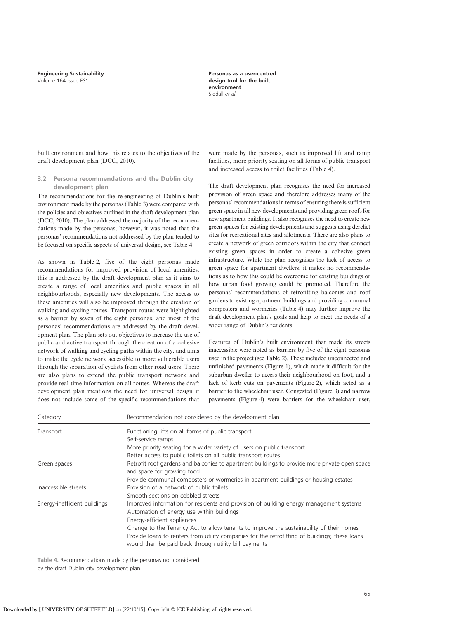Volume 164 Issue ES1

Personas as a user-centred design tool for the built environment Siddall et al.

built environment and how this relates to the objectives of the draft development plan (DCC, 2010).

### 3.2 Persona recommendations and the Dublin city development plan

The recommendations for the re-engineering of Dublin's built environment made by the personas (Table 3) were compared with the policies and objectives outlined in the draft development plan (DCC, 2010). The plan addressed the majority of the recommendations made by the personas; however, it was noted that the personas' recommendations not addressed by the plan tended to be focused on specific aspects of universal design, see Table 4.

As shown in Table 2, five of the eight personas made recommendations for improved provision of local amenities; this is addressed by the draft development plan as it aims to create a range of local amenities and public spaces in all neighbourhoods, especially new developments. The access to these amenities will also be improved through the creation of walking and cycling routes. Transport routes were highlighted as a barrier by seven of the eight personas, and most of the personas' recommendations are addressed by the draft development plan. The plan sets out objectives to increase the use of public and active transport through the creation of a cohesive network of walking and cycling paths within the city, and aims to make the cycle network accessible to more vulnerable users through the separation of cyclists from other road users. There are also plans to extend the public transport network and provide real-time information on all routes. Whereas the draft development plan mentions the need for universal design it does not include some of the specific recommendations that

were made by the personas, such as improved lift and ramp facilities, more priority seating on all forms of public transport and increased access to toilet facilities (Table 4).

The draft development plan recognises the need for increased provision of green space and therefore addresses many of the personas' recommendations in terms of ensuring there is sufficient green space in all new developments and providing green roofs for new apartment buildings. It also recognises the need to create new green spaces for existing developments and suggests using derelict sites for recreational sites and allotments. There are also plans to create a network of green corridors within the city that connect existing green spaces in order to create a cohesive green infrastructure. While the plan recognises the lack of access to green space for apartment dwellers, it makes no recommendations as to how this could be overcome for existing buildings or how urban food growing could be promoted. Therefore the personas' recommendations of retrofitting balconies and roof gardens to existing apartment buildings and providing communal composters and wormeries (Table 4) may further improve the draft development plan's goals and help to meet the needs of a wider range of Dublin's residents.

Features of Dublin's built environment that made its streets inaccessible were noted as barriers by five of the eight personas used in the project (see Table 2). These included unconnected and unfinished pavements (Figure 1), which made it difficult for the suburban dweller to access their neighbourhood on foot, and a lack of kerb cuts on pavements (Figure 2), which acted as a barrier to the wheelchair user. Congested (Figure 3) and narrow pavements (Figure 4) were barriers for the wheelchair user,

| Category                     | Recommendation not considered by the development plan                                                                                                                                                                                              |
|------------------------------|----------------------------------------------------------------------------------------------------------------------------------------------------------------------------------------------------------------------------------------------------|
| Transport                    | Functioning lifts on all forms of public transport                                                                                                                                                                                                 |
|                              | Self-service ramps                                                                                                                                                                                                                                 |
|                              | More priority seating for a wider variety of users on public transport                                                                                                                                                                             |
|                              | Better access to public toilets on all public transport routes                                                                                                                                                                                     |
| Green spaces                 | Retrofit roof gardens and balconies to apartment buildings to provide more private open space<br>and space for growing food                                                                                                                        |
|                              | Provide communal composters or wormeries in apartment buildings or housing estates                                                                                                                                                                 |
| Inaccessible streets         | Provision of a network of public toilets                                                                                                                                                                                                           |
|                              | Smooth sections on cobbled streets                                                                                                                                                                                                                 |
| Energy-inefficient buildings | Improved information for residents and provision of building energy management systems<br>Automation of energy use within buildings<br>Energy-efficient appliances                                                                                 |
|                              | Change to the Tenancy Act to allow tenants to improve the sustainability of their homes<br>Provide loans to renters from utility companies for the retrofitting of buildings; these loans<br>would then be paid back through utility bill payments |

Table 4. Recommendations made by the personas not considered by the draft Dublin city development plan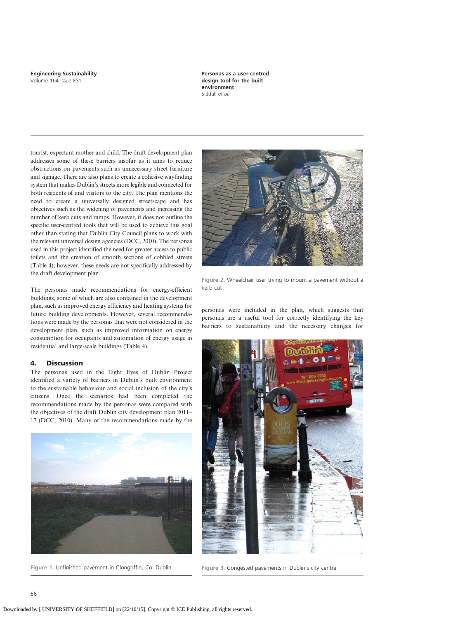tourist, expectant mother and child. The draft development plan addresses some of these barriers insofar as it aims to reduce obstructions on pavements such as unnecessary street furniture and signage. There are also plans to create a cohesive wayfinding system that makes Dublin's streets more legible and connected for both residents of and visitors to the city. The plan mentions the need to create a universally designed streetscape and has objectives such as the widening of pavements and increasing the number of kerb cuts and ramps. However, it does not outline the specific user-centred tools that will be used to achieve this goal other than stating that Dublin City Council plans to work with the relevant universal design agencies (DCC, 2010). The personas used in this project identified the need for greater access to public toilets and the creation of smooth sections of cobbled streets (Table 4); however, these needs are not specifically addressed by the draft development plan.

The personas made recommendations for energy-efficient buildings, some of which are also contained in the development plan, such as improved energy efficiency and heating systems for future building developments. However, several recommendations were made by the personas that were not considered in the development plan, such as improved information on energy consumption for occupants and automation of energy usage in residential and large-scale buildings (Table 4).

### 4. Discussion

The personas used in the Eight Eyes of Dublin Project identified a variety of barriers in Dublin's built environment to the sustainable behaviour and social inclusion of the city's citizens. Once the scenarios had been completed the recommendations made by the personas were compared with the objectives of the draft Dublin city development plan 2011– 17 (DCC, 2010). Many of the recommendations made by the



Figure 1. Unfinished pavement in Clongriffin, Co. Dublin



Figure 2. Wheelchair user trying to mount a pavement without a kerb cut

personas were included in the plan, which suggests that personas are a useful tool for correctly identifying the key barriers to sustainability and the necessary changes for



Figure 3. Congested pavements in Dublin's city centre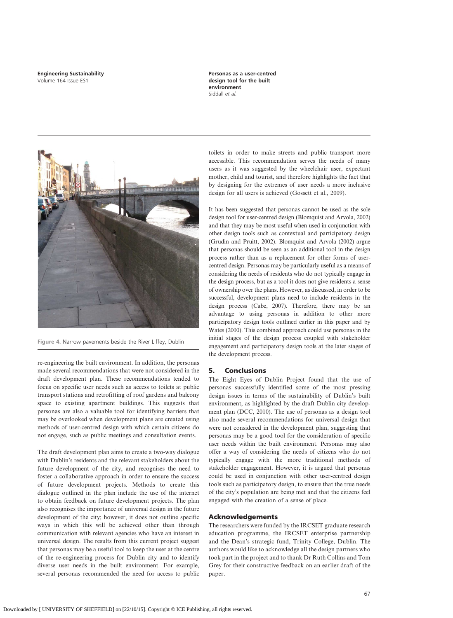Engineering Sustainability Volume 164 Issue ES1

Personas as a user-centred design tool for the built environment Siddall et al.



Figure 4. Narrow pavements beside the River Liffey, Dublin

re-engineering the built environment. In addition, the personas made several recommendations that were not considered in the draft development plan. These recommendations tended to focus on specific user needs such as access to toilets at public transport stations and retrofitting of roof gardens and balcony space to existing apartment buildings. This suggests that personas are also a valuable tool for identifying barriers that may be overlooked when development plans are created using methods of user-centred design with which certain citizens do not engage, such as public meetings and consultation events.

The draft development plan aims to create a two-way dialogue with Dublin's residents and the relevant stakeholders about the future development of the city, and recognises the need to foster a collaborative approach in order to ensure the success of future development projects. Methods to create this dialogue outlined in the plan include the use of the internet to obtain feedback on future development projects. The plan also recognises the importance of universal design in the future development of the city; however, it does not outline specific ways in which this will be achieved other than through communication with relevant agencies who have an interest in universal design. The results from this current project suggest that personas may be a useful tool to keep the user at the centre of the re-engineering process for Dublin city and to identify diverse user needs in the built environment. For example, several personas recommended the need for access to public toilets in order to make streets and public transport more accessible. This recommendation serves the needs of many users as it was suggested by the wheelchair user, expectant mother, child and tourist, and therefore highlights the fact that by designing for the extremes of user needs a more inclusive design for all users is achieved (Gossett et al., 2009).

It has been suggested that personas cannot be used as the sole design tool for user-centred design (Blomquist and Arvola, 2002) and that they may be most useful when used in conjunction with other design tools such as contextual and participatory design (Grudin and Pruitt, 2002). Blomquist and Arvola (2002) argue that personas should be seen as an additional tool in the design process rather than as a replacement for other forms of usercentred design. Personas may be particularly useful as a means of considering the needs of residents who do not typically engage in the design process, but as a tool it does not give residents a sense of ownership over the plans. However, as discussed, in order to be successful, development plans need to include residents in the design process (Cabe, 2007). Therefore, there may be an advantage to using personas in addition to other more participatory design tools outlined earlier in this paper and by Wates (2000). This combined approach could use personas in the initial stages of the design process coupled with stakeholder engagement and participatory design tools at the later stages of the development process.

### 5. Conclusions

The Eight Eyes of Dublin Project found that the use of personas successfully identified some of the most pressing design issues in terms of the sustainability of Dublin's built environment, as highlighted by the draft Dublin city development plan (DCC, 2010). The use of personas as a design tool also made several recommendations for universal design that were not considered in the development plan, suggesting that personas may be a good tool for the consideration of specific user needs within the built environment. Personas may also offer a way of considering the needs of citizens who do not typically engage with the more traditional methods of stakeholder engagement. However, it is argued that personas could be used in conjunction with other user-centred design tools such as participatory design, to ensure that the true needs of the city's population are being met and that the citizens feel engaged with the creation of a sense of place.

#### Acknowledgements

The researchers were funded by the IRCSET graduate research education programme, the IRCSET enterprise partnership and the Dean's strategic fund, Trinity College, Dublin. The authors would like to acknowledge all the design partners who took part in the project and to thank Dr Ruth Collins and Tom Grey for their constructive feedback on an earlier draft of the paper.